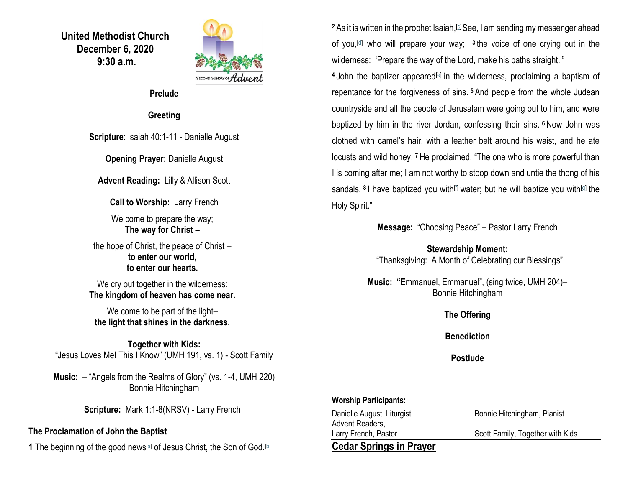**United Methodist Church December 6, 2020 9:30 a.m.**



**Prelude**

### **Greeting**

**Scripture**: Isaiah 40:1-11 - Danielle August

**Opening Prayer: Danielle August** 

**Advent Reading:** Lilly & Allison Scott

**Call to Worship:** Larry French

We come to prepare the way; **The way for Christ –**

the hope of Christ, the peace of Christ – **to enter our world, to enter our hearts.**

We cry out together in the wilderness: **The kingdom of heaven has come near.**

We come to be part of the light**the light that shines in the darkness.**

**Together with Kids:** "Jesus Loves Me! This I Know" (UMH 191, vs. 1) - Scott Family

**Music:** – "Angels from the Realms of Glory" (vs. 1-4, UMH 220) Bonnie Hitchingham

**Scripture:** Mark 1:1-8(NRSV) - Larry French

### **The Proclamation of John the Baptist**

**1** The beginning of the good news<sup>[\[a\]](https://www.biblegateway.com/passage/?search=Mark+1%3A1-8&version=NRSV#fen-NRSV-24214a)</sup> of Jesus Christ, the Son of God.<sup>[\[b\]](https://www.biblegateway.com/passage/?search=Mark+1%3A1-8&version=NRSV#fen-NRSV-24214b)</sup>

<sup>2</sup> As it is written in the prophet Isaiah, [\[c\]](https://www.biblegateway.com/passage/?search=Mark+1%3A1-8&version=NRSV#fen-NRSV-24215c) See, I am sending my messenger ahead of you,[\[d\]](https://www.biblegateway.com/passage/?search=Mark+1%3A1-8&version=NRSV#fen-NRSV-24215d) who will prepare your way; **3** the voice of one crying out in the wilderness: 'Prepare the way of the Lord, make his paths straight."

<sup>4</sup> John the baptizer appeared<sup>[\[e\]](https://www.biblegateway.com/passage/?search=Mark+1%3A1-8&version=NRSV#fen-NRSV-24217e)</sup> in the wilderness, proclaiming a baptism of repentance for the forgiveness of sins. **<sup>5</sup>** And people from the whole Judean countryside and all the people of Jerusalem were going out to him, and were baptized by him in the river Jordan, confessing their sins. **<sup>6</sup>** Now John was clothed with camel's hair, with a leather belt around his waist, and he ate locusts and wild honey. **<sup>7</sup>** He proclaimed, "The one who is more powerful than I is coming after me; I am not worthy to stoop down and untie the thong of his sandals. <sup>8</sup> I have baptized you with<sup>[\[f\]](https://www.biblegateway.com/passage/?search=Mark+1%3A1-8&version=NRSV#fen-NRSV-24221f)</sup> water; but he will baptize you with<sup>[\[g\]](https://www.biblegateway.com/passage/?search=Mark+1%3A1-8&version=NRSV#fen-NRSV-24221g)</sup> the Holy Spirit."

**Message:** "Choosing Peace" – Pastor Larry French

**Stewardship Moment:** "Thanksgiving: A Month of Celebrating our Blessings"

**Music: "E**mmanuel, Emmanuel", (sing twice, UMH 204)– Bonnie Hitchingham

**The Offering**

**Benediction**

**Postlude**

### **Worship Participants:**

Danielle August, Liturgist Bonnie Hitchingham, Pianist Advent Readers, Larry French, Pastor **Scott Family, Together with Kids** 

# **Cedar Springs in Prayer**